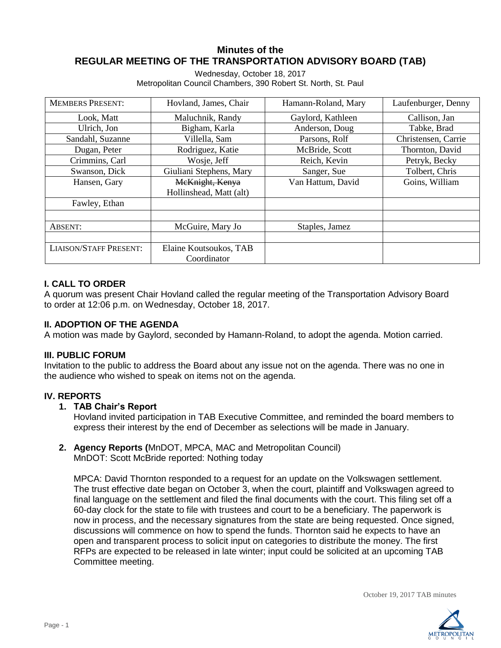# **Minutes of the REGULAR MEETING OF THE TRANSPORTATION ADVISORY BOARD (TAB)**

Wednesday, October 18, 2017 Metropolitan Council Chambers, 390 Robert St. North, St. Paul

| <b>MEMBERS PRESENT:</b>       | Hovland, James, Chair   | Hamann-Roland, Mary | Laufenburger, Denny |
|-------------------------------|-------------------------|---------------------|---------------------|
| Look, Matt                    | Maluchnik, Randy        | Gaylord, Kathleen   | Callison, Jan       |
| Ulrich, Jon                   | Bigham, Karla           | Anderson, Doug      | Tabke, Brad         |
| Sandahl, Suzanne              | Villella, Sam           | Parsons, Rolf       | Christensen, Carrie |
| Dugan, Peter                  | Rodriguez, Katie        | McBride, Scott      | Thornton, David     |
| Crimmins, Carl                | Wosje, Jeff             | Reich, Kevin        | Petryk, Becky       |
| Swanson, Dick                 | Giuliani Stephens, Mary | Sanger, Sue         | Tolbert, Chris      |
| Hansen, Gary                  | McKnight, Kenya         | Van Hattum, David   | Goins, William      |
|                               | Hollinshead, Matt (alt) |                     |                     |
| Fawley, Ethan                 |                         |                     |                     |
|                               |                         |                     |                     |
| ABSENT:                       | McGuire, Mary Jo        | Staples, Jamez      |                     |
|                               |                         |                     |                     |
| <b>LIAISON/STAFF PRESENT:</b> | Elaine Koutsoukos, TAB  |                     |                     |
|                               | Coordinator             |                     |                     |

# **I. CALL TO ORDER**

A quorum was present Chair Hovland called the regular meeting of the Transportation Advisory Board to order at 12:06 p.m. on Wednesday, October 18, 2017.

# **II. ADOPTION OF THE AGENDA**

A motion was made by Gaylord, seconded by Hamann-Roland, to adopt the agenda. Motion carried.

# **III. PUBLIC FORUM**

Invitation to the public to address the Board about any issue not on the agenda. There was no one in the audience who wished to speak on items not on the agenda.

# **IV. REPORTS**

# **1. TAB Chair's Report**

Hovland invited participation in TAB Executive Committee, and reminded the board members to express their interest by the end of December as selections will be made in January.

**2. Agency Reports (**MnDOT, MPCA, MAC and Metropolitan Council) MnDOT: Scott McBride reported: Nothing today

MPCA: David Thornton responded to a request for an update on the Volkswagen settlement. The trust effective date began on October 3, when the court, plaintiff and Volkswagen agreed to final language on the settlement and filed the final documents with the court. This filing set off a 60-day clock for the state to file with trustees and court to be a beneficiary. The paperwork is now in process, and the necessary signatures from the state are being requested. Once signed, discussions will commence on how to spend the funds. Thornton said he expects to have an open and transparent process to solicit input on categories to distribute the money. The first RFPs are expected to be released in late winter; input could be solicited at an upcoming TAB Committee meeting.

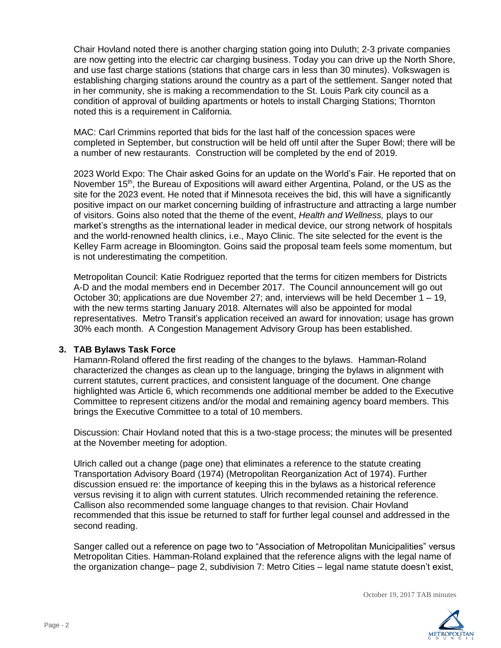Chair Hovland noted there is another charging station going into Duluth; 2-3 private companies are now getting into the electric car charging business. Today you can drive up the North Shore, and use fast charge stations (stations that charge cars in less than 30 minutes). Volkswagen is establishing charging stations around the country as a part of the settlement. Sanger noted that in her community, she is making a recommendation to the St. Louis Park city council as a condition of approval of building apartments or hotels to install Charging Stations; Thornton noted this is a requirement in California.

MAC: Carl Crimmins reported that bids for the last half of the concession spaces were completed in September, but construction will be held off until after the Super Bowl; there will be a number of new restaurants. Construction will be completed by the end of 2019.

2023 World Expo: The Chair asked Goins for an update on the World's Fair. He reported that on November 15<sup>th</sup>, the Bureau of Expositions will award either Argentina, Poland, or the US as the site for the 2023 event. He noted that if Minnesota receives the bid, this will have a significantly positive impact on our market concerning building of infrastructure and attracting a large number of visitors. Goins also noted that the theme of the event, *Health and Wellness,* plays to our market's strengths as the international leader in medical device, our strong network of hospitals and the world-renowned health clinics, i.e., Mayo Clinic. The site selected for the event is the Kelley Farm acreage in Bloomington. Goins said the proposal team feels some momentum, but is not underestimating the competition.

Metropolitan Council: Katie Rodriguez reported that the terms for citizen members for Districts A-D and the modal members end in December 2017. The Council announcement will go out October 30; applications are due November 27; and, interviews will be held December 1 – 19, with the new terms starting January 2018. Alternates will also be appointed for modal representatives. Metro Transit's application received an award for innovation; usage has grown 30% each month. A Congestion Management Advisory Group has been established.

#### **3. TAB Bylaws Task Force**

Hamann-Roland offered the first reading of the changes to the bylaws. Hamman-Roland characterized the changes as clean up to the language, bringing the bylaws in alignment with current statutes, current practices, and consistent language of the document. One change highlighted was Article 6, which recommends one additional member be added to the Executive Committee to represent citizens and/or the modal and remaining agency board members. This brings the Executive Committee to a total of 10 members.

Discussion: Chair Hovland noted that this is a two-stage process; the minutes will be presented at the November meeting for adoption.

Ulrich called out a change (page one) that eliminates a reference to the statute creating Transportation Advisory Board (1974) (Metropolitan Reorganization Act of 1974). Further discussion ensued re: the importance of keeping this in the bylaws as a historical reference versus revising it to align with current statutes. Ulrich recommended retaining the reference. Callison also recommended some language changes to that revision. Chair Hovland recommended that this issue be returned to staff for further legal counsel and addressed in the second reading.

Sanger called out a reference on page two to "Association of Metropolitan Municipalities" versus Metropolitan Cities. Hamman-Roland explained that the reference aligns with the legal name of the organization change– page 2, subdivision 7: Metro Cities – legal name statute doesn't exist,

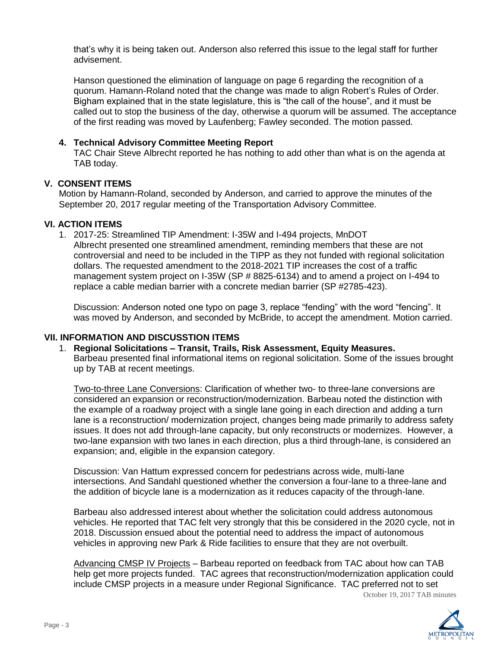that's why it is being taken out. Anderson also referred this issue to the legal staff for further advisement.

Hanson questioned the elimination of language on page 6 regarding the recognition of a quorum. Hamann-Roland noted that the change was made to align Robert's Rules of Order. Bigham explained that in the state legislature, this is "the call of the house", and it must be called out to stop the business of the day, otherwise a quorum will be assumed. The acceptance of the first reading was moved by Laufenberg; Fawley seconded. The motion passed.

## **4. Technical Advisory Committee Meeting Report**

TAC Chair Steve Albrecht reported he has nothing to add other than what is on the agenda at TAB today.

## **V. CONSENT ITEMS**

Motion by Hamann-Roland, seconded by Anderson, and carried to approve the minutes of the September 20, 2017 regular meeting of the Transportation Advisory Committee.

## **VI. ACTION ITEMS**

1. 2017-25: Streamlined TIP Amendment: I-35W and I-494 projects, MnDOT Albrecht presented one streamlined amendment, reminding members that these are not controversial and need to be included in the TIPP as they not funded with regional solicitation dollars. The requested amendment to the 2018-2021 TIP increases the cost of a traffic management system project on I-35W (SP # 8825-6134) and to amend a project on I-494 to replace a cable median barrier with a concrete median barrier (SP #2785-423).

Discussion: Anderson noted one typo on page 3, replace "fending" with the word "fencing". It was moved by Anderson, and seconded by McBride, to accept the amendment. Motion carried.

# **VII. INFORMATION AND DISCUSSTION ITEMS**

#### 1. **Regional Solicitations – Transit, Trails, Risk Assessment, Equity Measures.**

Barbeau presented final informational items on regional solicitation. Some of the issues brought up by TAB at recent meetings.

Two-to-three Lane Conversions: Clarification of whether two- to three-lane conversions are considered an expansion or reconstruction/modernization. Barbeau noted the distinction with the example of a roadway project with a single lane going in each direction and adding a turn lane is a reconstruction/ modernization project, changes being made primarily to address safety issues. It does not add through-lane capacity, but only reconstructs or modernizes. However, a two-lane expansion with two lanes in each direction, plus a third through-lane, is considered an expansion; and, eligible in the expansion category.

Discussion: Van Hattum expressed concern for pedestrians across wide, multi-lane intersections. And Sandahl questioned whether the conversion a four-lane to a three-lane and the addition of bicycle lane is a modernization as it reduces capacity of the through-lane.

Barbeau also addressed interest about whether the solicitation could address autonomous vehicles. He reported that TAC felt very strongly that this be considered in the 2020 cycle, not in 2018. Discussion ensued about the potential need to address the impact of autonomous vehicles in approving new Park & Ride facilities to ensure that they are not overbuilt.

Advancing CMSP IV Projects – Barbeau reported on feedback from TAC about how can TAB help get more projects funded. TAC agrees that reconstruction/modernization application could include CMSP projects in a measure under Regional Significance. TAC preferred not to set

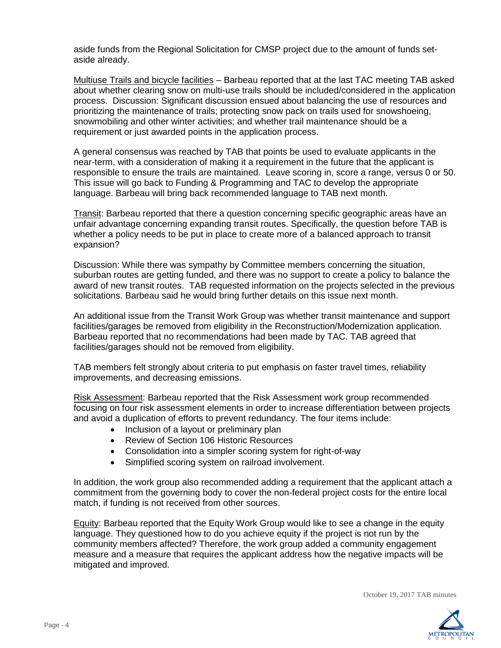aside funds from the Regional Solicitation for CMSP project due to the amount of funds setaside already.

Multiuse Trails and bicycle facilities – Barbeau reported that at the last TAC meeting TAB asked about whether clearing snow on multi-use trails should be included/considered in the application process. Discussion: Significant discussion ensued about balancing the use of resources and prioritizing the maintenance of trails; protecting snow pack on trails used for snowshoeing, snowmobiling and other winter activities; and whether trail maintenance should be a requirement or just awarded points in the application process.

A general consensus was reached by TAB that points be used to evaluate applicants in the near-term, with a consideration of making it a requirement in the future that the applicant is responsible to ensure the trails are maintained. Leave scoring in, score a range, versus 0 or 50. This issue will go back to Funding & Programming and TAC to develop the appropriate language. Barbeau will bring back recommended language to TAB next month.

Transit: Barbeau reported that there a question concerning specific geographic areas have an unfair advantage concerning expanding transit routes. Specifically, the question before TAB is whether a policy needs to be put in place to create more of a balanced approach to transit expansion?

Discussion: While there was sympathy by Committee members concerning the situation, suburban routes are getting funded, and there was no support to create a policy to balance the award of new transit routes. TAB requested information on the projects selected in the previous solicitations. Barbeau said he would bring further details on this issue next month.

An additional issue from the Transit Work Group was whether transit maintenance and support facilities/garages be removed from eligibility in the Reconstruction/Modernization application. Barbeau reported that no recommendations had been made by TAC. TAB agreed that facilities/garages should not be removed from eligibility.

TAB members felt strongly about criteria to put emphasis on faster travel times, reliability improvements, and decreasing emissions.

Risk Assessment: Barbeau reported that the Risk Assessment work group recommended focusing on four risk assessment elements in order to increase differentiation between projects and avoid a duplication of efforts to prevent redundancy. The four items include:

- Inclusion of a layout or preliminary plan
- Review of Section 106 Historic Resources
- Consolidation into a simpler scoring system for right-of-way
- Simplified scoring system on railroad involvement.

In addition, the work group also recommended adding a requirement that the applicant attach a commitment from the governing body to cover the non-federal project costs for the entire local match, if funding is not received from other sources.

Equity: Barbeau reported that the Equity Work Group would like to see a change in the equity language. They questioned how to do you achieve equity if the project is not run by the community members affected? Therefore, the work group added a community engagement measure and a measure that requires the applicant address how the negative impacts will be mitigated and improved.